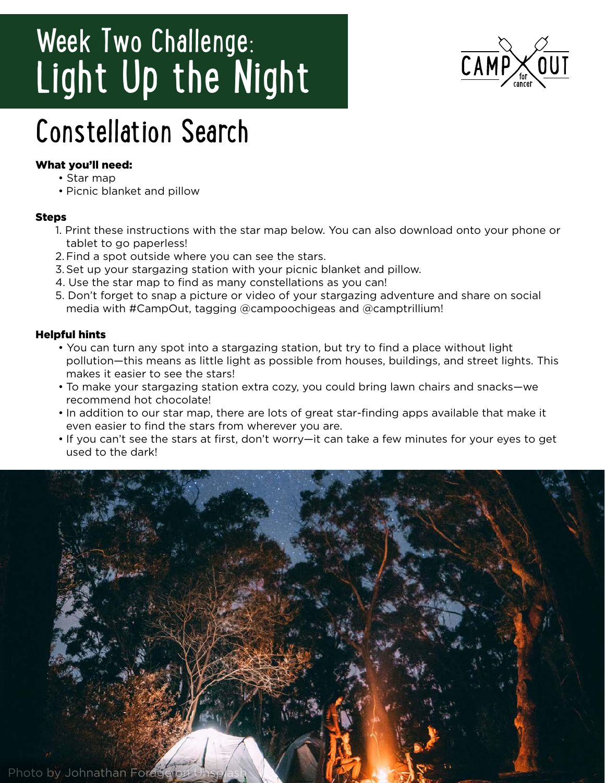# Week Two Challenge: Light Up the Night



## Constellation Search

#### What you'll need:

- Star map
- Picnic blanket and pillow

#### Steps

- 1. Print these instructions with the star map below. You can also download onto your phone or tablet to go paperless!
- 2.Find a spot outside where you can see the stars.
- 3.Set up your stargazing station with your picnic blanket and pillow.
- 4. Use the star map to find as many constellations as you can!
- 5. Don't forget to snap a picture or video of your stargazing adventure and share on social media with #CampOut, tagging @campoochigeas and @camptrillium!

### Helpful hints

- You can turn any spot into a stargazing station, but try to find a place without light pollution—this means as little light as possible from houses, buildings, and street lights. This makes it easier to see the stars!
- To make your stargazing station extra cozy, you could bring lawn chairs and snacks—we recommend hot chocolate!
- In addition to our star map, there are lots of great star-finding apps available that make it even easier to find the stars from wherever you are.
- If you can't see the stars at first, don't worry—it can take a few minutes for your eyes to get used to the dark!